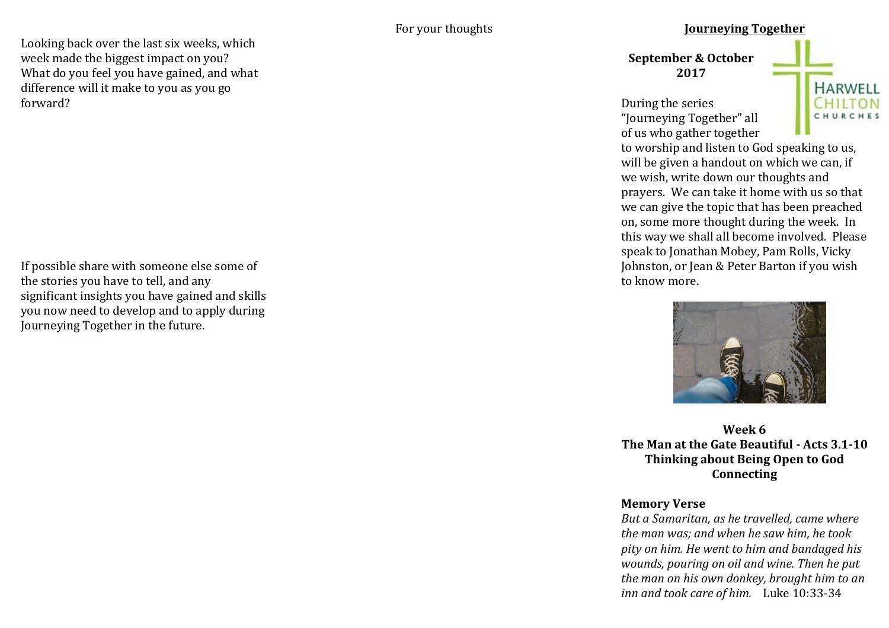### Looking back over the last six weeks, which week made the biggest impact on you? What do you feel you have gained, and what difference will it make to you as you go forward?

# If possible share with someone else some of the stories you have to tell, and any significant insights you have gained and skills you now need to develop and to apply during Journeying Together in the future.

### For your thoughts **Journeying Together**

**September & October 2017**



During the series "Journeying Together" all of us who gather together

to worship and listen to God speaking to us, will be given a handout on which we can, if we wish, write down our thoughts and prayers. We can take it home with us so that we can give the topic that has been preached on, some more thought during the week. In this way we shall all become involved. Please speak to Jonathan Mobey, Pam Rolls, Vicky Johnston, or Jean & Peter Barton if you wish to know more.



**Week 6 The Man at the Gate Beautiful - Acts 3.1-10 Thinking about Being Open to God Connecting**

#### **Memory Verse**

*But a Samaritan, as he travelled, came where the man was; and when he saw him, he took pity on him. He went to him and bandaged his wounds, pouring on oil and wine. Then he put the man on his own donkey, brought him to an inn and took care of him.* Luke 10:33-34